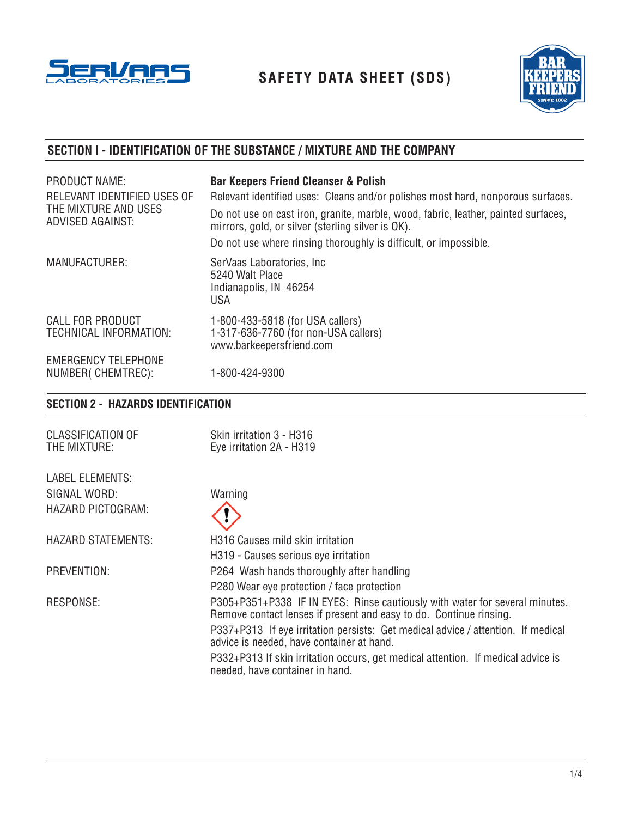

**SAFETY DATA SHEET (SDS)**



# **SECTION I - IDENTIFICATION OF THE SUBSTANCE / MIXTURE AND THE COMPANY**

| PRODUCT NAME:<br>RELEVANT IDENTIFIED USES OF<br>THE MIXTURE AND USES<br><b>ADVISED AGAINST:</b> | <b>Bar Keepers Friend Cleanser &amp; Polish</b><br>Relevant identified uses: Cleans and/or polishes most hard, nonporous surfaces.<br>Do not use on cast iron, granite, marble, wood, fabric, leather, painted surfaces,<br>mirrors, gold, or silver (sterling silver is OK).<br>Do not use where rinsing thoroughly is difficult, or impossible. |
|-------------------------------------------------------------------------------------------------|---------------------------------------------------------------------------------------------------------------------------------------------------------------------------------------------------------------------------------------------------------------------------------------------------------------------------------------------------|
| <b>MANUFACTURER:</b>                                                                            | SerVaas Laboratories, Inc.<br>5240 Walt Place<br>Indianapolis, IN 46254<br><b>USA</b>                                                                                                                                                                                                                                                             |
| <b>CALL FOR PRODUCT</b><br>TECHNICAL INFORMATION:                                               | 1-800-433-5818 (for USA callers)<br>1-317-636-7760 (for non-USA callers)<br>www.barkeepersfriend.com                                                                                                                                                                                                                                              |
| <b>EMERGENCY TELEPHONE</b><br>NUMBER(CHEMTREC):                                                 | 1-800-424-9300                                                                                                                                                                                                                                                                                                                                    |

# **SECTION 2 - HAZARDS IDENTIFICATION**

| Skin irritation 3 - H316<br>Eye irritation 2A - H319                                                                                                                                                                                                                                                                                                                                                      |
|-----------------------------------------------------------------------------------------------------------------------------------------------------------------------------------------------------------------------------------------------------------------------------------------------------------------------------------------------------------------------------------------------------------|
|                                                                                                                                                                                                                                                                                                                                                                                                           |
| Warning                                                                                                                                                                                                                                                                                                                                                                                                   |
|                                                                                                                                                                                                                                                                                                                                                                                                           |
| H316 Causes mild skin irritation                                                                                                                                                                                                                                                                                                                                                                          |
| H319 - Causes serious eye irritation                                                                                                                                                                                                                                                                                                                                                                      |
| P264 Wash hands thoroughly after handling                                                                                                                                                                                                                                                                                                                                                                 |
| P280 Wear eye protection / face protection                                                                                                                                                                                                                                                                                                                                                                |
| P305+P351+P338 IF IN EYES: Rinse cautiously with water for several minutes.<br>Remove contact lenses if present and easy to do. Continue rinsing.<br>P337+P313 If eye irritation persists: Get medical advice / attention. If medical<br>advice is needed, have container at hand.<br>P332+P313 If skin irritation occurs, get medical attention. If medical advice is<br>needed, have container in hand. |
|                                                                                                                                                                                                                                                                                                                                                                                                           |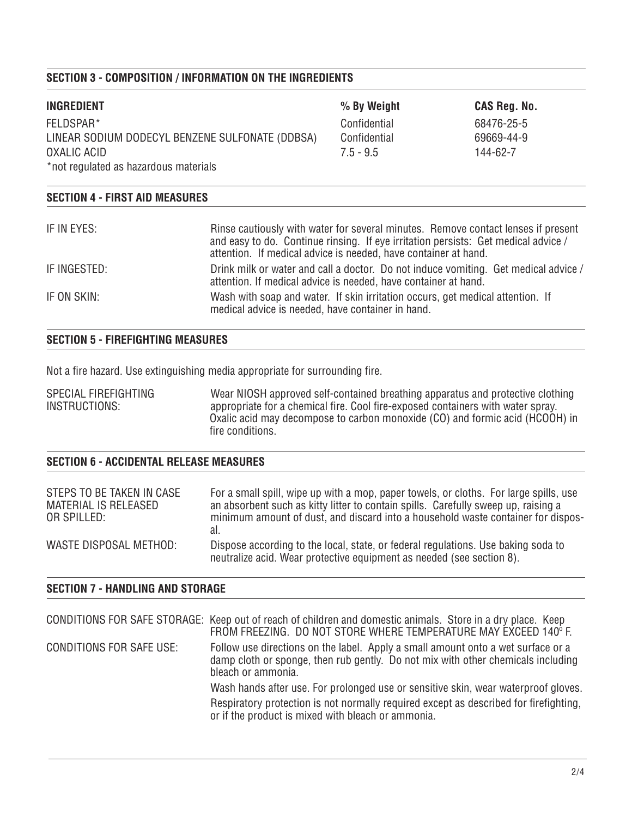# **SECTION 3 - COMPOSITION / INFORMATION ON THE INGREDIENTS**

| <b>INGREDIENT</b>                               | % By Weight  | CAS Reg. No. |
|-------------------------------------------------|--------------|--------------|
| FELDSPAR*                                       | Confidential | 68476-25-5   |
| LINEAR SODIUM DODECYL BENZENE SULFONATE (DDBSA) | Confidential | 69669-44-9   |
| OXALIC ACID                                     | $7.5 - 9.5$  | 144-62-7     |
| *not regulated as hazardous materials           |              |              |
|                                                 |              |              |

| IF IN EYES:  | Rinse cautiously with water for several minutes. Remove contact lenses if present<br>and easy to do. Continue rinsing. If eye irritation persists: Get medical advice / |
|--------------|-------------------------------------------------------------------------------------------------------------------------------------------------------------------------|
|              | attention. If medical advice is needed, have container at hand.                                                                                                         |
| IF INGESTED: | Drink milk or water and call a doctor. Do not induce vomiting. Get medical advice /<br>attention. If medical advice is needed, have container at hand.                  |
| IF ON SKIN:  | Wash with soap and water. If skin irritation occurs, get medical attention. If<br>medical advice is needed, have container in hand.                                     |

### **SECTION 5 - FIREFIGHTING MEASURES**

**SECTION 4 - FIRST AID MEASURES**

Not a fire hazard. Use extinguishing media appropriate for surrounding fire.

SPECIAL FIREFIGHTING Wear NIOSH approved self-contained breathing apparatus and protective clothing<br>INSTRUCTIONS: appropriate for a chemical fire. Cool fire-exposed containers with water sprav. Instruction appropriate for a chemical fire. Cool fire-exposed containers with water spray. Oxalic acid may decompose to carbon monoxide (CO) and formic acid (HCOOH) in fire conditions.

# **SECTION 6 - ACCIDENTAL RELEASE MEASURES**

| STEPS TO BE TAKEN IN CASE | For a small spill, wipe up with a mop, paper towels, or cloths. For large spills, use                                                                      |
|---------------------------|------------------------------------------------------------------------------------------------------------------------------------------------------------|
| MATERIAL IS RELEASED      | an absorbent such as kitty litter to contain spills. Carefully sweep up, raising a                                                                         |
| OR SPILLED:               | minimum amount of dust, and discard into a household waste container for dispos-                                                                           |
| WASTE DISPOSAL METHOD:    | Dispose according to the local, state, or federal regulations. Use baking soda to<br>neutralize acid. Wear protective equipment as needed (see section 8). |

# **SECTION 7 - HANDLING AND STORAGE**

|                          | CONDITIONS FOR SAFE STORAGE: Keep out of reach of children and domestic animals. Store in a dry place. Keep<br>FROM FREEZING. DO NOT STORE WHERE TEMPERATURE MAY EXCEED 140° F.            |
|--------------------------|--------------------------------------------------------------------------------------------------------------------------------------------------------------------------------------------|
| CONDITIONS FOR SAFE USE: | Follow use directions on the label. Apply a small amount onto a wet surface or a<br>damp cloth or sponge, then rub gently. Do not mix with other chemicals including<br>bleach or ammonia. |
|                          | Wash hands after use. For prolonged use or sensitive skin, wear waterproof gloves.                                                                                                         |
|                          | Respiratory protection is not normally required except as described for firefighting,<br>or if the product is mixed with bleach or ammonia.                                                |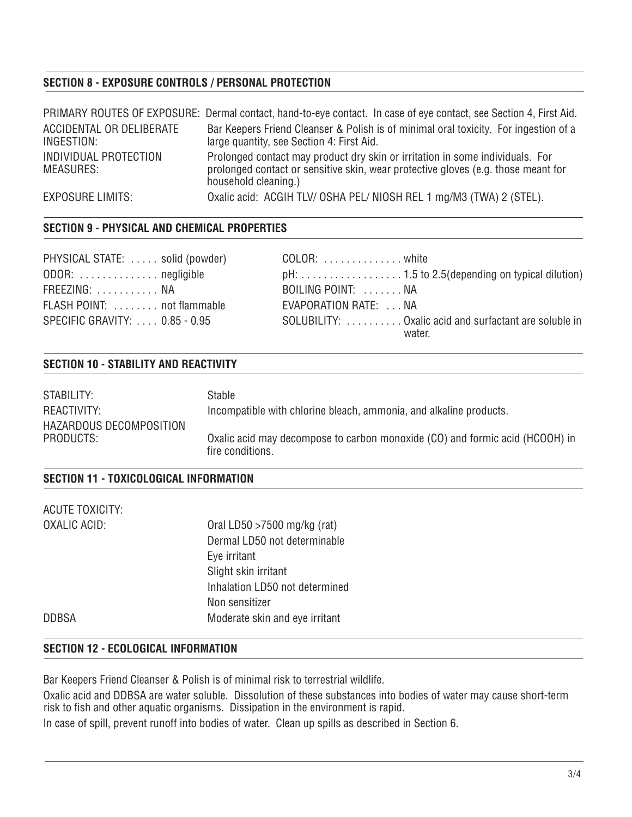# **SECTION 8 - EXPOSURE CONTROLS / PERSONAL PROTECTION**

|                                           | PRIMARY ROUTES OF EXPOSURE: Dermal contact, hand-to-eye contact. In case of eye contact, see Section 4, First Aid.                                                                         |
|-------------------------------------------|--------------------------------------------------------------------------------------------------------------------------------------------------------------------------------------------|
| ACCIDENTAL OR DELIBERATE<br>INGESTION:    | Bar Keepers Friend Cleanser & Polish is of minimal oral toxicity. For ingestion of a<br>large quantity, see Section 4: First Aid.                                                          |
| INDIVIDUAL PROTECTION<br><b>MEASURES:</b> | Prolonged contact may product dry skin or irritation in some individuals. For<br>prolonged contact or sensitive skin, wear protective gloves (e.g. those meant for<br>household cleaning.) |
| <b>EXPOSURE LIMITS:</b>                   | Oxalic acid: ACGIH TLV/ OSHA PEL/ NIOSH REL 1 mg/M3 (TWA) 2 (STEL).                                                                                                                        |

#### **SECTION 9 - PHYSICAL AND CHEMICAL PROPERTIES**

| PHYSICAL STATE: solid (powder) |  |
|--------------------------------|--|
| ODOR:  negligible              |  |
| FREEZING:  NA                  |  |
| FLASH POINT:  not flammable    |  |
| SPECIFIC GRAVITY:  0.85 - 0.95 |  |

COLOR: . . . . . . . . . . . . . . . white ODOR: . . . . . . . . . . . . . . negligible pH: . . . . . . . . . . . . . . . . . . 1.5 to 2.5(depending on typical dilution) BOILING POINT: . . . . . . . NA EVAPORATION RATE: . . . NA SOLUBILITY: . . . . . . . . . . . Oxalic acid and surfactant are soluble in water.

#### **SECTION 10 - STABILITY AND REACTIVITY**

| STABILITY:                           | Stable                                                                                           |
|--------------------------------------|--------------------------------------------------------------------------------------------------|
| REACTIVITY:                          | Incompatible with chlorine bleach, ammonia, and alkaline products.                               |
| HAZARDOUS DECOMPOSITION<br>PRODUCTS: | Oxalic acid may decompose to carbon monoxide (CO) and formic acid (HCOOH) in<br>fire conditions. |

## **SECTION 11 - TOXICOLOGICAL INFORMATION**

| ACUTE TOXICITY: |                                |  |
|-----------------|--------------------------------|--|
| OXALIC ACID:    | Oral LD50 $>7500$ mg/kg (rat)  |  |
|                 | Dermal LD50 not determinable   |  |
|                 | Eye irritant                   |  |
|                 | Slight skin irritant           |  |
|                 | Inhalation LD50 not determined |  |
|                 | Non sensitizer                 |  |
| <b>DDBSA</b>    | Moderate skin and eye irritant |  |
|                 |                                |  |

### **SECTION 12 - ECOLOGICAL INFORMATION**

Bar Keepers Friend Cleanser & Polish is of minimal risk to terrestrial wildlife.

Oxalic acid and DDBSA are water soluble. Dissolution of these substances into bodies of water may cause short-term risk to fish and other aquatic organisms. Dissipation in the environment is rapid.

In case of spill, prevent runoff into bodies of water. Clean up spills as described in Section 6.